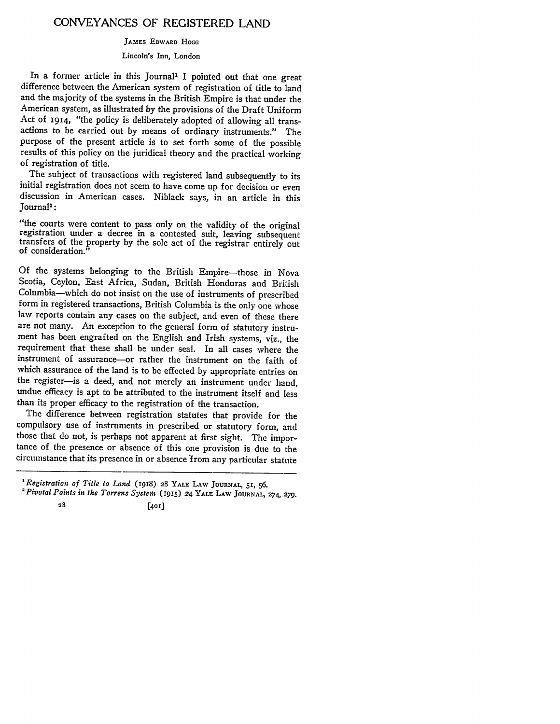## **CONVEYANCES** OF REGISTERED **LAND**

## **JAMES** EDWARD **HOGG**

## Lincoln's Inn, London

In a former article in this Journal' I pointed out that one great difference between the American system of registration of title to land and the majority of the systems in the British Empire is that under the American system, as illustrated by the provisions of the Draft Uniform Act of **1914,** "the policy is deliberately adopted of allowing all transactions to be carried out by means of ordinary instruments." The purpose of the present article is to set forth some of the possible results of this policy on the juridical theory and the practical working of registration of title.

The subject of transactions with registered land subsequently to its initial registration does not seem to have come up for decision or even discussion in American cases. Niblack says, in an article in this Journal2 :

"the courts were content to pass only on the validity of the original registration under a decree in a contested suit, leaving subsequent transfers of the property by the sole act of the registrar entirely out of consideration."

**Of** the systems belonging to the British Empire-those in Nova Scotia, Ceylon, East Africa, Sudan, British Honduras and British Columbia-which do not insist on the use of instruments of prescribed form in registered transactions, British Columbia is the only one whose law reports contain any cases on the subject, and even of these there are not many. An exception to the general form of statutory instrument has been engrafted on the English and Irish systems, viz., the requirement that these shall be under seal. In all cases where the instrument of assurance-or rather the instrument on the faith of which assurance of the land is to be effected by appropriate entries on the register--is a deed, and not merely an instrument under hand, undue efficacy is apt to be attributed to the instrument itself and less than its proper efficacy to the registration of the transaction.

The difference between registration statutes that provide for the compulsory use of instruments in prescribed or statutory form, and those that do not, is perhaps not apparent at first sight. The importance of the presence or absence of this one provision is due to the circumstance that its presence in or absence 'from any particular statute

*<sup>&#</sup>x27;Registration of Title to Land* (1918) **28** YALE LAW **JOURNAL, 5I, 56.**

*<sup>&#</sup>x27;Pivotal Points in the Torrens System* (r915) **24** YALE LAW **JOURNAL, 274, 279. 28 [401]**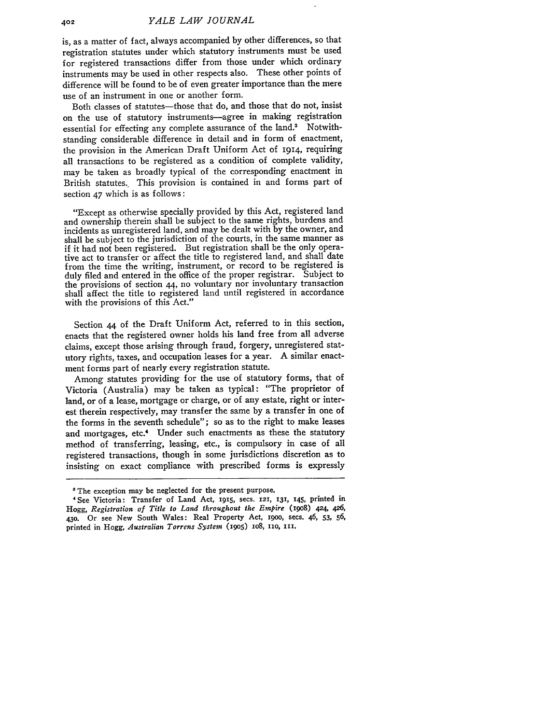is, as a matter of fact, always accompanied by other differences, so that registration statutes under which statutory instruments must be used for registered transactions differ from those under which ordinary instruments may be used in other respects also. These other points of difference will be found to be of even greater importance than the mere use of an instrument in one or another form.

Both classes of statutes—those that do, and those that do not, insist on the use of statutory instruments-agree in making registration essential for effecting any complete assurance of the land.<sup>3</sup> Notwithstanding considerable difference in detail and in form of enactment, the provision in the American Draft Uniform Act of 1914, requiring all transactions to be registered as a condition of complete validity, may be taken as broadly typical of the corresponding enactment in British statutes. This provision is contained in and forms part of section 47 which is as follows:

"Except as otherwise specially provided by this Act, registered land and ownership therein shall be subject to the same rights, burdens and incidents as unregistered land, and may be dealt with by the owner, and shall be subject to the jurisdiction of the courts, in the same manner as if it had not been registered. But registration shall be the only operative act to transfer or affect the title to registered land, and shall date from the time the writing, instrument, or record to be registered is duly filed and entered in the office of the proper registrar. Subject to the provisions of section *44,* no voluntary nor involuntary transaction shall affect the title to registered land until registered in accordance with the provisions of this Act."

Section 44 of the Draft Uniform Act, referred to in this section, enacts that the registered owner holds his land free from all adverse claims, except those arising through fraud, forgery, unregistered statutory rights, taxes, and occupation leases for a year. A similar enactment forms part of nearly every registration statute.

Among statutes providing for the use of statutory forms, that of Victoria (Australia) may be taken as typical: "The proprietor of land, or of a lease, mortgage or charge, or of any estate, right or interest therein respectively, may transfer the same by a transfer in one of the forms in the seventh schedule"; so as to the right to make leases and mortgages, etc.<sup>4</sup> Under such enactments as these the statutory method of transferring, leasing, etc., is compulsory in case of all registered transactions, though in some jurisdictions discretion as to insisting on exact compliance with prescribed forms is expressly

The exception may be neglected for the present purpose.

<sup>&#</sup>x27;See Victoria: Transfer of Land Act, 1915, secs. 121, **131,** 145, printed in Hogg, *Registration of Title to Land throughout the Empire* (i9o8) 424, 426, 43o. Or see New South Wales: Real Property Act, x9oo, secs. 46, **53, 56,** printed in Hogg, *Australian Torrens System* **(19o5)** 1O8, **110, 11I.**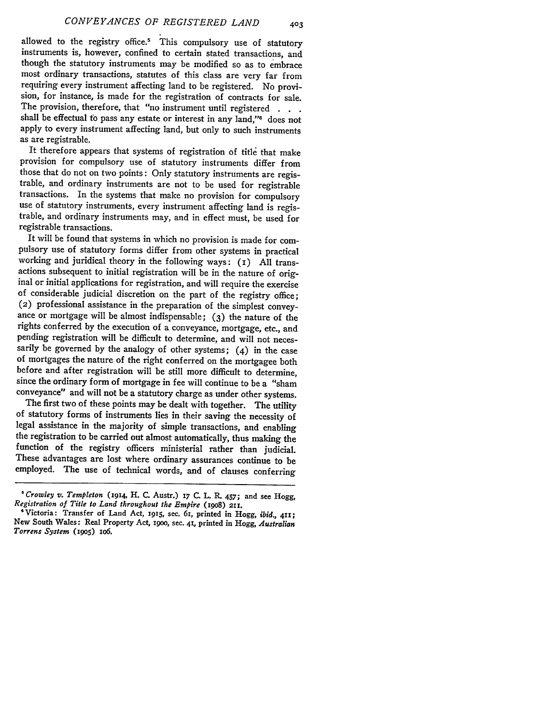allowed to the registry office.5 This compulsory use of statutory instruments is, however, confined to certain stated transactions, and though the statutory instruments may be modified so as to embrace most ordinary transactions, statutes of this class are very far from requiring every instrument affecting land to be registered. No provi- sion, for instance, is made for the registration of contracts for sale. The provision, therefore, that "no instrument until registered . . . shall be effectual to pass any estate or interest in any land,"<sup>6</sup> does not apply to every instrument affecting land, but only to such instruments as are registrable.

It therefore appears that systems of registration of title that make provision for compulsory use of statutory instruments differ from those that do not on two points: Only statutory instruments are registrable, and ordinary instruments are not to be used for registrable transactions. In the systems that make no provision for compulsory use of statutory instruments, every instrument affecting land is registrable, and ordinary instruments may, and in effect must, be used for registrable transactions.

It will be found that systems in which no provision is made for compulsory use of statutory forms differ from other systems in practical working and juridical theory in the following ways: (i) All transactions subsequent to initial registration will be in the nature of orig- inal or initial applications for registration, and will require the exercise of considerable judicial discretion on the part of the registry office; (2) professional assistance in the preparation of the simplest conveyance or mortgage will be almost indispensable; **(3)** the nature of the rights conferred by the execution of a conveyance, mortgage, etc., and pending registration will be difficult to determine, and will not necessarily be governed by the analogy of other systems;  $(4)$  in the case of mortgages the nature of the right conferred on the mortgagee both before and after registration will be still more difficult to determine, since the ordinary form of mortgage in fee will continue to be a "sham conveyance" and will not be a statutory charge as under other systems.

The first two of these points may be dealt with together. The utility of statutory forms of instruments lies in their saving the necessity of legal assistance in the majority of simple transactions, and enabling the registration to be carried out almost automatically, thus making the function of the registry officers ministerial rather than judicial. These advantages are lost where ordinary assurances continue to be employed. The use of technical words, and of clauses conferring

*<sup>&#</sup>x27;Crowley v. Templeton* (1914, H. **C.** Austr.) **17 C.** L. R. 457; and see Hogg, *Registration of Title to Land throughout the Empire* (i9o8) **21r.**

New South Wales: Real Property Act, 1900, sec. 41, printed in Hogg, *Australian Torrens System* (19o5) io6.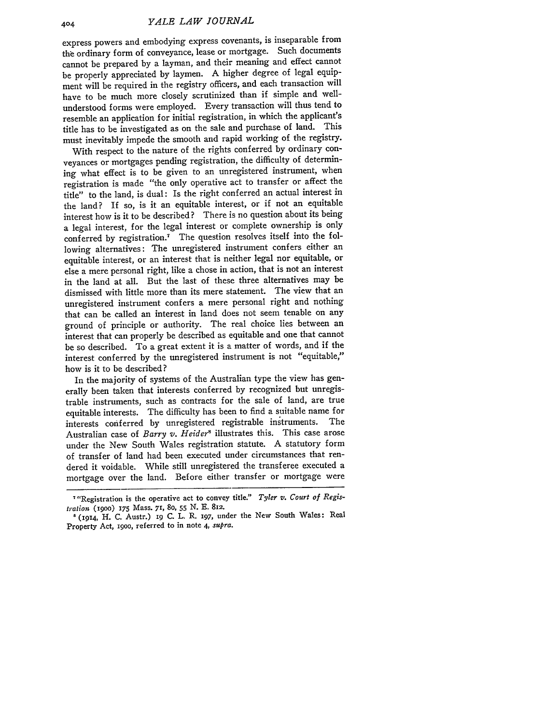express powers and embodying express covenants, is inseparable from **the** ordinary form of conveyance, lease or mortgage. Such documents cannot be prepared **by** a layman, and their meaning and effect cannot be properly appreciated **by** laymen. A higher degree of legal equipment will be required in the registry officers, and each transaction will have to be much more closely scrutinized than if simple and wellunderstood forms were employed. Every transaction will thus tend to resemble an application for initial registration, in which the applicant's title has to be investigated as on the sale and purchase of land. This must inevitably impede the smooth and rapid working of the registry.

With respect to the nature of the rights conferred **by** ordinary conveyances or mortgages pending registration, the difficulty of determining what effect is to be given to an unregistered instrument, when registration is made "the only operative act to transfer or affect the title" to the land, is dual: Is the right conferred an actual interest in the land? If so, is it an equitable interest, or if not an equitable interest how is it to be described? There is no question about its being a legal interest, for the legal interest or complete ownership is only conferred by registration.<sup>7</sup> The question resolves itself into the following alternatives: The unregistered instrument confers either an equitable interest, or an interest that is neither legal nor equitable, or else a mere personal right, like a chose in action, that is not an interest in the land at all. But the last of these three alternatives may be dismissed with little more than its mere statement. The view that an unregistered instrument confers a mere personal right and nothing that can be called an interest in land does not seem tenable on any ground of principle or authority. The real choice lies between an interest that can properly be described as equitable and one that cannot be so described. To a great extent it is a matter of words, and if the interest conferred **by** the unregistered instrument is not "equitable," how is it to be described?

In the majority of systems of the Australian type the view has generally been taken that interests conferred **by** recognized but unregistrable instruments, such as contracts for the sale of land, are true equitable interests. The difficulty has been to find a suitable name for<br>interests, conferred, by unregistered, registrable, instruments. The interests conferred by unregistered registrable instruments. Australian case of *Barry v. Heider8* illustrates this. This case arose under the New South Wales registration statute. A statutory form of transfer of land had been executed under circumstances that rendered it voidable. While still unregistered the transferee executed a mortgage over the land. Before either transfer or mortgage were

<sup>&</sup>lt;sup>7</sup> "Registration is the operative act to convey title." *Tyler v. Court of Registration* (19oo) **175** Mass. 7r, 8o, **55 N. E. 812.**

<sup>8</sup>**(1914,** H. **C.** Austr.) ig **C.** L. R. **197,** under the New South Wales: Real Property Act, Igoo, referred to in note **4,** *supra.*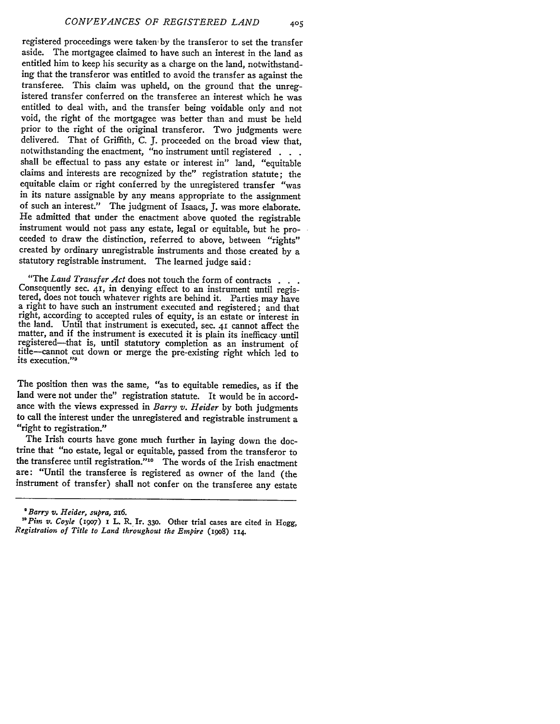registered proceedings were taken, by the transferor to set the transfer aside. The mortgagee claimed to have such an interest in the land as entitled him to keep his security as a charge on the land, notwithstanding that the transferor was entitled to avoid the transfer as against the transferee. This claim was upheld, on the ground that the unregistered transfer conferred on the transferee an interest which he was entitled to deal with, and the transfer being voidable only and not void, the right of the mortgagee was better than and must be held prior to the right of the original transferor. Two judgments were delivered. That of Griffith, C. J. proceeded on the broad view that, notwithstanding the enactment, "no instrument until registered . . . shall be effectual to pass any estate or interest in" land, "equitable claims and interests are recognized by the" registration statute; the equitable claim or right conferred by the unregistered transfer "was in its nature assignable by any means appropriate to the assignment of such an interest." The judgment of Isaacs, J. was more elaborate. He admitted that under the enactment above quoted the registrable instrument would not pass any estate, legal or equitable, but he proceeded to draw the distinction, referred to above, between "rights" created by ordinary unregistrable instruments and those created by a statutory registrable instrument. The learned judge said:

"The Land Transfer Act does not touch the form of contracts . . . . Consequently sec. 41, in denying effect to an instrument until registered, does not touch whatever rights are behind it. Parties may have a right to have such an instrument executed and registered; and that right, according to accepted rules of equity, is an estate or interest in the land. Until that instrument is executed, sec. **41** cannot affect the matter, and if the instrument is executed it is plain its inefficacy until registered-that is, until statutory completion as an instrument of title-cannot cut down or merge the pre-existing right which led to its execution."

The position then was the same, "as to equitable remedies, as if the land were not under the" registration statute. It would be in accordance with the views expressed in *Barry v. Heider* by both judgments to call the interest under the unregistered and registrable instrument a "right to registration."

The Irish courts have gone much further in laying down the doctrine that "no estate, legal or equitable, passed from the transferor to the transferee until registration."10 The words of the Irish enactment are: "Until the transferee is registered as owner of the land (the instrument of transfer) shall not confer on the transferee any estate

*<sup>&#</sup>x27;Barry v. Heider, supra, 216.*

<sup>\*</sup>Pim *v. Coyle* (igo7) I L. R. Ir. **330.** Other trial cases are cited in Hogg, *Registration of Title to Land throughout the Empire* (iso8) 114.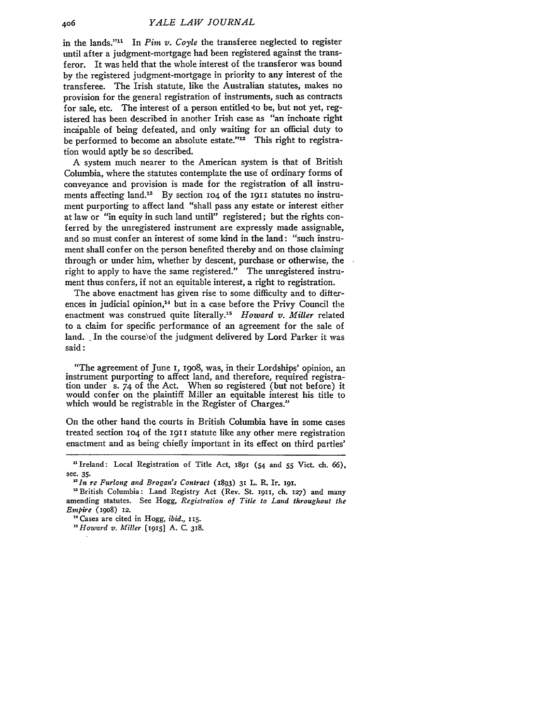in the lands."<sup>11</sup> In *Pim v. Coyle* the transferee neglected to register until after a judgment-mortgage had been registered against the transferor. It was held that the whole interest of the transferor was bound by the registered judgment-mortgage in priority to any interest of the transferee. The Irish statute, like the Australian statutes, makes no provision for the general registration of instruments, such as contracts for sale, etc. The interest of a person entitled to be, but not yet, registered has been described in another Irish case as "an inchoate right incapable of being defeated, and only waiting for an official duty to be performed to become an absolute estate." $12$  This right to registration would aptly be so described.

A system much nearer to the American system is that of British Columbia, where the statutes contemplate the use of ordinary forms of conveyance and provision is made for the registration of all instruments affecting land.13 By section **104** of the 1911 statutes no instrument purporting to affect land "shall pass any estate or interest either at law or "in equity in such land until" registered; but the rights conferred by the unregistered instrument are expressly made assignable, and so must confer an interest of some kind in the land: "such instrument shall confer on the person benefited thereby and on those claiming through or under him, whether by descent, purchase or otherwise, the right to apply to have the same registered." The unregistered instrument thus confers, if not an equitable interest, a right to registration.

The above enactment has given rise to some difficulty and to differences in judicial opinion,<sup>14</sup> but in a case before the Privy Council the enactment was construed quite literally.<sup>15</sup>*Howard v. Miller* related to a claim for specific performance of an agreement for the sale of land. In the course)of the judgment delivered by Lord Parker it was said:

"The agreement of June **i,** I9O8, was, in their Lordships' opinion, an instrument purporting to affect land, and therefore, required registration under s. 74 of the Act. When so registered (but not before) it would confer on the plaintiff Miller an equitable interest his title to which would be registrable in the Register of Charges."

On the other hand the courts in British Columbia have in some cases treated section **104** of the **1911** statute like any other mere registration enactment and as being chiefly important in its effect on third parties'

**<sup>&</sup>quot;1** Ireland: Local Registration of Title Act, 18gi (54 and **55** Vict. ch. 66), sec. 35.

<sup>&</sup>lt;sup>12</sup> In re Furlong and Brogan's Contract (1893) 31 L. R. Ir. 191.

<sup>&</sup>lt;sup>13</sup> British Columbia: Land Registry Act (Rev. St. 1911, ch. 127) and many amending statutes. See Hogg, *Registration of Title to Land throughout the Empire* (19o8) **12.**

<sup>&</sup>quot;Cases are cited in Hogg, *ibid.,* 115.

*<sup>&</sup>quot;Howard v. Miller* [1915] **A. C. 318.**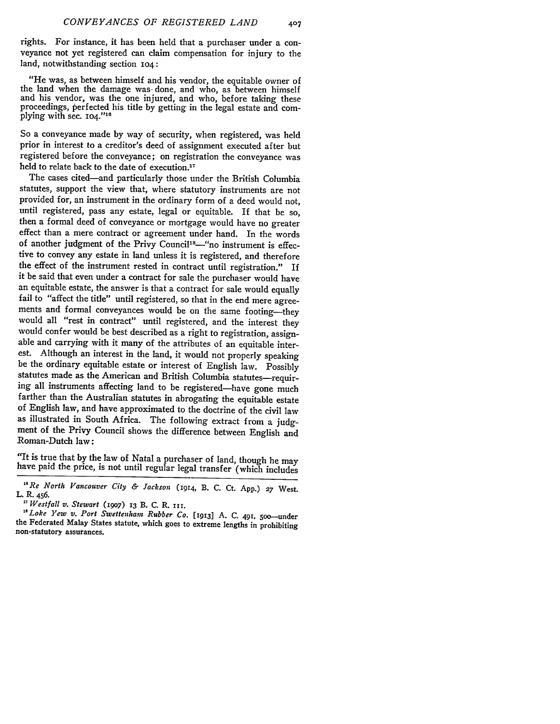rights. For instance, it has been held that a purchaser under a conveyance not yet registered can claim compensation for injury to the land, notwithstanding section  $104$ :

"He was, as between himself and his vendor, the equitable owner **of** the land when the damage was-done, and who, as between himself and his vendor, was the one injured, and who, before taking these proceedings, perfected his title **by** getting in the legal estate and complying with sec. **IO4."'1**

So a conveyance made **by** way of security, when registered, was held prior in interest to a creditor's deed of assignment executed after but registered before the conveyance; on registration the conveyance was held to relate back to the date of execution.<sup>17</sup>

The cases cited-and particularly those under the British Columbia statutes, support the view that, where statutory instruments are not provided for, an instrument in the ordinary form of a deed would not, until registered, pass any estate, legal or equitable. If that be so, then a formal deed of conveyance or mortgage would have no greater effect than a mere contract or agreement under hand. In the words of another judgment of the Privy Council<sup>18</sup>-"no instrument is effective to convey any estate in land unless it is registered, and therefore the effect of the instrument rested in contract until registration." If it be said that even under a contract for sale the purchaser would have an equitable estate, the answer is that a contract for sale would equally fail to "affect the title" until registered, so that in the end mere agreements and formal conveyances would be on the same footing-they would all "rest in contract" until registered, and the interest they would confer would be best described as a right to registration, assignable and carrying with it many of the attributes of an equitable interest. Although an interest in the land, it would not properly speaking be the ordinary equitable estate or interest of English law. Possibly statutes made as the American and British Columbia statutes-requiring all instruments affecting land to be registered-have gone much farther than the Australian statutes in abrogating the equitable estate of English law, and have approximated to the doctrine of the civil law as illustrated in South Africa. The following extract from a **judg**ment of the Privy Council shows the difference between English and Roman-Dutch law:

"It is true that **by** the law of Natal a purchaser of land, though he may have paid the price, is not until regular legal transfer (which includes

*IT Westfall v. Stewart* (19o7) **13** B. **C.** R. **iii.**

*"Loke Yew v. Port Swettenham Rubber Co.* **[1913]** A. C. 491. 500--under the Federated Malay States statute, which goes to extreme lengths in prohibiting non-statutory assurances.

*<sup>&</sup>quot;Re North Vancouver City & Jackson* **(1914,** B. **C.** Ct. **App.) 27** West. L. R. 456.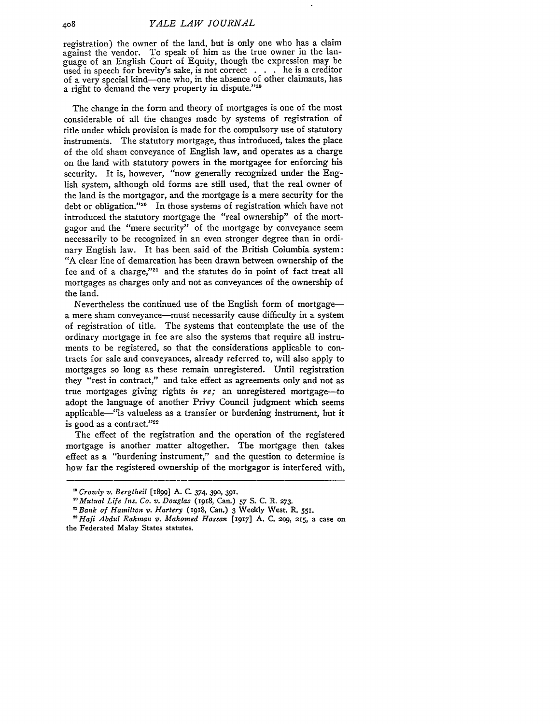registration) the owner of the land, but is only one who has a claim against the vendor. To speak of him as the true owner in the language of an English Court of Equity, though the expression may be used in speech for brevity's sake, is not correct  $\ldots$  he is a creditor of a very special kind-one who, in the absence of other claimants, has a right to demand the very property in dispute."'<sup>19</sup>

The change in the form and theory of mortgages is one of the most considerable of all the changes made by systems of registration of title under which provision is made for the compulsory use of statutory instruments. The statutory mortgage, thus introduced, takes the place of the old sham conveyance of English law, and operates as a charge on the land with statutory powers in the mortgagee for enforcing his security. It is, however, "now generally recognized under the English system, although old forms are still used, that the real owner of the land is the mortgagor, and the mortgage is a mere security for the debt or obligation."<sup>20</sup> In those systems of registration which have not introduced the statutory mortgage the "real ownership" of the mortgagor and the "mere security" of the mortgage by conveyance seem necessarily to be recognized in an even stronger degree than in ordinary English law. It has been said of the British Columbia system: "A clear line of demarcation has been drawn between ownership of the fee and of a charge,"<sup>21</sup> and the statutes do in point of fact treat all mortgages as charges only and not as conveyances of the ownership of the land.

Nevertheless the continued use of the English form of mortgagea mere sham conveyance—must necessarily cause difficulty in a system of registration of title. The systems that contemplate the use of the ordinary mortgage in fee are also the systems that require all instruments to be registered, so that the considerations applicable to contracts for sale and conveyances, already referred to, will also apply to mortgages so long as these remain unregistered. Until registration they "rest in contract," and take effect as agreements only and not as true mortgages giving rights *in* re; an unregistered mortgage-to adopt the language of another Privy Council judgment which seems applicable--"is valueless as a transfer or burdening instrument, but it is good as a contract." $22$ 

The effect of the registration and the operation of the registered mortgage is another matter altogether. The mortgage then takes effect as a "burdening instrument," and the question to determine is how far the registered ownership of the mortgagor is interfered with,

*<sup>&</sup>quot; Crowly* v. *Bergtheil* [1899] A. C. 374, **390, 391.**

*<sup>&</sup>quot;Mutual Life Ins. Co. v. Douglas* (1918, Can.) 57 S. C. R. 273.

*<sup>&#</sup>x27;Bank of Hamilton v. Hartery* (1918, Can.) 3 Weekly West. **L 551.**

*<sup>=</sup>Haji Abdul Rahinan v. Mahomed Hassan* [1917] A. C. 209, 215, a case on the Federated Malay States statutes.